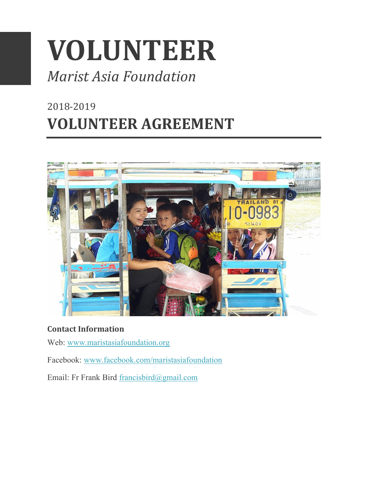# **VOLUNTEER**

# *Marist Asia Foundation*

# 2018-2019 **VOLUNTEER AGREEMENT**



#### **Contact Information**

- Web: www.maristasiafoundation.org
- Facebook: www.facebook.com/maristasiafoundation
- Email: Fr Frank Bird francisbird@gmail.com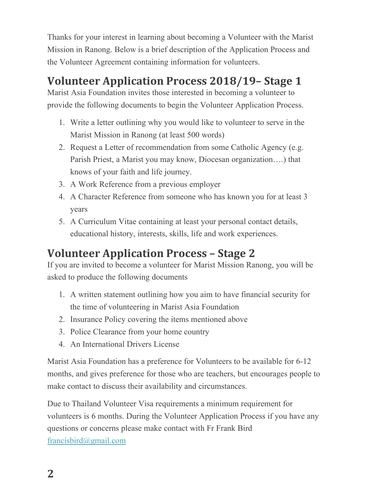Thanks for your interest in learning about becoming a Volunteer with the Marist Mission in Ranong. Below is a brief description of the Application Process and the Volunteer Agreement containing information for volunteers.

# **Volunteer Application Process 2018/19– Stage 1**

Marist Asia Foundation invites those interested in becoming a volunteer to provide the following documents to begin the Volunteer Application Process.

- 1. Write a letter outlining why you would like to volunteer to serve in the Marist Mission in Ranong (at least 500 words)
- 2. Request a Letter of recommendation from some Catholic Agency (e.g. Parish Priest, a Marist you may know, Diocesan organization….) that knows of your faith and life journey.
- 3. A Work Reference from a previous employer
- 4. A Character Reference from someone who has known you for at least 3 years
- 5. A Curriculum Vitae containing at least your personal contact details, educational history, interests, skills, life and work experiences.

## **Volunteer Application Process – Stage 2**

If you are invited to become a volunteer for Marist Mission Ranong, you will be asked to produce the following documents

- 1. A written statement outlining how you aim to have financial security for the time of volunteering in Marist Asia Foundation
- 2. Insurance Policy covering the items mentioned above
- 3. Police Clearance from your home country
- 4. An International Drivers License

Marist Asia Foundation has a preference for Volunteers to be available for 6-12 months, and gives preference for those who are teachers, but encourages people to make contact to discuss their availability and circumstances.

Due to Thailand Volunteer Visa requirements a minimum requirement for volunteers is 6 months. During the Volunteer Application Process if you have any questions or concerns please make contact with Fr Frank Bird francisbird@gmail.com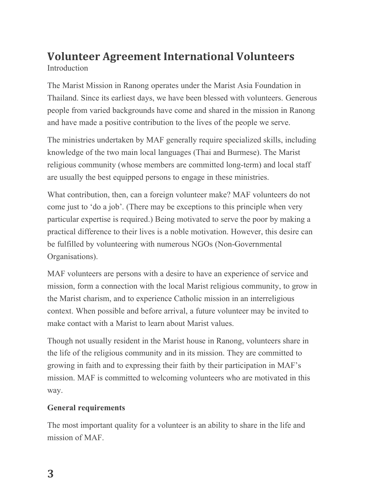## **Volunteer Agreement International Volunteers** Introduction

The Marist Mission in Ranong operates under the Marist Asia Foundation in Thailand. Since its earliest days, we have been blessed with volunteers. Generous people from varied backgrounds have come and shared in the mission in Ranong and have made a positive contribution to the lives of the people we serve.

The ministries undertaken by MAF generally require specialized skills, including knowledge of the two main local languages (Thai and Burmese). The Marist religious community (whose members are committed long-term) and local staff are usually the best equipped persons to engage in these ministries.

What contribution, then, can a foreign volunteer make? MAF volunteers do not come just to 'do a job'. (There may be exceptions to this principle when very particular expertise is required.) Being motivated to serve the poor by making a practical difference to their lives is a noble motivation. However, this desire can be fulfilled by volunteering with numerous NGOs (Non-Governmental Organisations).

MAF volunteers are persons with a desire to have an experience of service and mission, form a connection with the local Marist religious community, to grow in the Marist charism, and to experience Catholic mission in an interreligious context. When possible and before arrival, a future volunteer may be invited to make contact with a Marist to learn about Marist values.

Though not usually resident in the Marist house in Ranong, volunteers share in the life of the religious community and in its mission. They are committed to growing in faith and to expressing their faith by their participation in MAF's mission. MAF is committed to welcoming volunteers who are motivated in this way.

#### **General requirements**

The most important quality for a volunteer is an ability to share in the life and mission of MAF.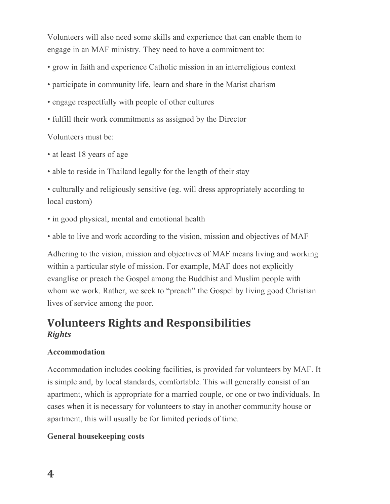Volunteers will also need some skills and experience that can enable them to engage in an MAF ministry. They need to have a commitment to:

• grow in faith and experience Catholic mission in an interreligious context

- participate in community life, learn and share in the Marist charism
- engage respectfully with people of other cultures
- fulfill their work commitments as assigned by the Director

Volunteers must be:

- at least 18 years of age
- able to reside in Thailand legally for the length of their stay

• culturally and religiously sensitive (eg. will dress appropriately according to local custom)

• in good physical, mental and emotional health

• able to live and work according to the vision, mission and objectives of MAF

Adhering to the vision, mission and objectives of MAF means living and working within a particular style of mission. For example, MAF does not explicitly evanglise or preach the Gospel among the Buddhist and Muslim people with whom we work. Rather, we seek to "preach" the Gospel by living good Christian lives of service among the poor.

### **Volunteers Rights and Responsibilities** *Rights*

#### **Accommodation**

Accommodation includes cooking facilities, is provided for volunteers by MAF. It is simple and, by local standards, comfortable. This will generally consist of an apartment, which is appropriate for a married couple, or one or two individuals. In cases when it is necessary for volunteers to stay in another community house or apartment, this will usually be for limited periods of time.

#### **General housekeeping costs**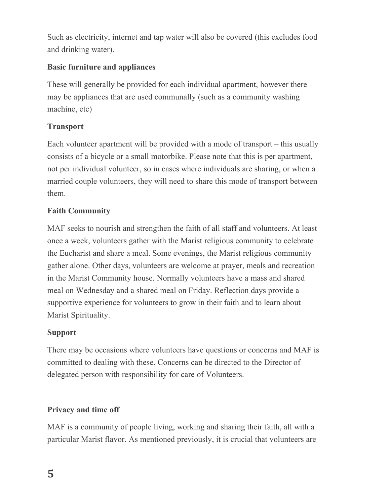Such as electricity, internet and tap water will also be covered (this excludes food and drinking water).

#### **Basic furniture and appliances**

These will generally be provided for each individual apartment, however there may be appliances that are used communally (such as a community washing machine, etc)

#### **Transport**

Each volunteer apartment will be provided with a mode of transport – this usually consists of a bicycle or a small motorbike. Please note that this is per apartment, not per individual volunteer, so in cases where individuals are sharing, or when a married couple volunteers, they will need to share this mode of transport between them.

#### **Faith Community**

MAF seeks to nourish and strengthen the faith of all staff and volunteers. At least once a week, volunteers gather with the Marist religious community to celebrate the Eucharist and share a meal. Some evenings, the Marist religious community gather alone. Other days, volunteers are welcome at prayer, meals and recreation in the Marist Community house. Normally volunteers have a mass and shared meal on Wednesday and a shared meal on Friday. Reflection days provide a supportive experience for volunteers to grow in their faith and to learn about Marist Spirituality.

#### **Support**

There may be occasions where volunteers have questions or concerns and MAF is committed to dealing with these. Concerns can be directed to the Director of delegated person with responsibility for care of Volunteers.

#### **Privacy and time off**

MAF is a community of people living, working and sharing their faith, all with a particular Marist flavor. As mentioned previously, it is crucial that volunteers are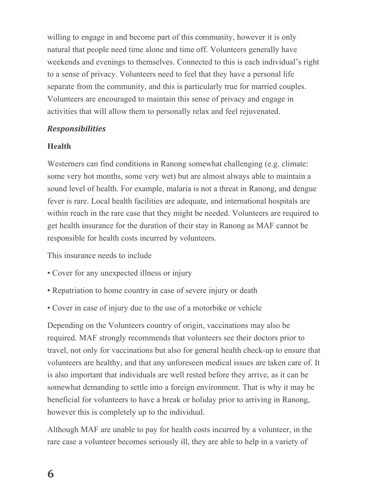willing to engage in and become part of this community, however it is only natural that people need time alone and time off. Volunteers generally have weekends and evenings to themselves. Connected to this is each individual's right to a sense of privacy. Volunteers need to feel that they have a personal life separate from the community, and this is particularly true for married couples. Volunteers are encouraged to maintain this sense of privacy and engage in activities that will allow them to personally relax and feel rejuvenated.

#### *Responsibilities*

#### **Health**

Westerners can find conditions in Ranong somewhat challenging (e.g. climate: some very hot months, some very wet) but are almost always able to maintain a sound level of health. For example, malaria is not a threat in Ranong, and dengue fever is rare. Local health facilities are adequate, and international hospitals are within reach in the rare case that they might be needed. Volunteers are required to get health insurance for the duration of their stay in Ranong as MAF cannot be responsible for health costs incurred by volunteers.

This insurance needs to include

- Cover for any unexpected illness or injury
- Repatriation to home country in case of severe injury or death
- Cover in case of injury due to the use of a motorbike or vehicle

Depending on the Volunteers country of origin, vaccinations may also be required. MAF strongly recommends that volunteers see their doctors prior to travel, not only for vaccinations but also for general health check-up to ensure that volunteers are healthy, and that any unforeseen medical issues are taken care of. It is also important that individuals are well rested before they arrive, as it can be somewhat demanding to settle into a foreign environment. That is why it may be beneficial for volunteers to have a break or holiday prior to arriving in Ranong, however this is completely up to the individual.

Although MAF are unable to pay for health costs incurred by a volunteer, in the rare case a volunteer becomes seriously ill, they are able to help in a variety of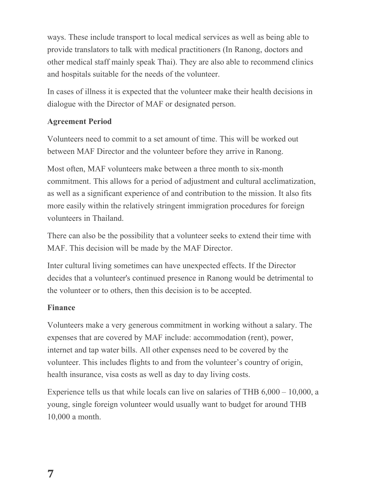ways. These include transport to local medical services as well as being able to provide translators to talk with medical practitioners (In Ranong, doctors and other medical staff mainly speak Thai). They are also able to recommend clinics and hospitals suitable for the needs of the volunteer.

In cases of illness it is expected that the volunteer make their health decisions in dialogue with the Director of MAF or designated person.

#### **Agreement Period**

Volunteers need to commit to a set amount of time. This will be worked out between MAF Director and the volunteer before they arrive in Ranong.

Most often, MAF volunteers make between a three month to six-month commitment. This allows for a period of adjustment and cultural acclimatization, as well as a significant experience of and contribution to the mission. It also fits more easily within the relatively stringent immigration procedures for foreign volunteers in Thailand.

There can also be the possibility that a volunteer seeks to extend their time with MAF. This decision will be made by the MAF Director.

Inter cultural living sometimes can have unexpected effects. If the Director decides that a volunteer's continued presence in Ranong would be detrimental to the volunteer or to others, then this decision is to be accepted.

#### **Finance**

Volunteers make a very generous commitment in working without a salary. The expenses that are covered by MAF include: accommodation (rent), power, internet and tap water bills. All other expenses need to be covered by the volunteer. This includes flights to and from the volunteer's country of origin, health insurance, visa costs as well as day to day living costs.

Experience tells us that while locals can live on salaries of THB 6,000 – 10,000, a young, single foreign volunteer would usually want to budget for around THB 10,000 a month.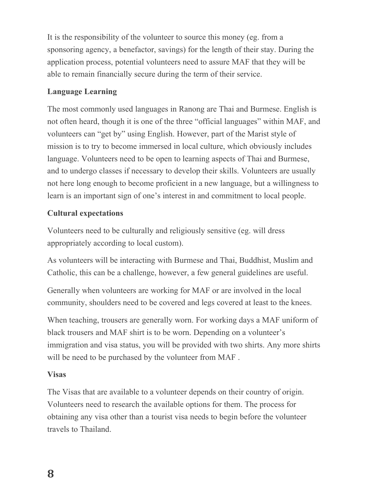It is the responsibility of the volunteer to source this money (eg. from a sponsoring agency, a benefactor, savings) for the length of their stay. During the application process, potential volunteers need to assure MAF that they will be able to remain financially secure during the term of their service.

#### **Language Learning**

The most commonly used languages in Ranong are Thai and Burmese. English is not often heard, though it is one of the three "official languages" within MAF, and volunteers can "get by" using English. However, part of the Marist style of mission is to try to become immersed in local culture, which obviously includes language. Volunteers need to be open to learning aspects of Thai and Burmese, and to undergo classes if necessary to develop their skills. Volunteers are usually not here long enough to become proficient in a new language, but a willingness to learn is an important sign of one's interest in and commitment to local people.

#### **Cultural expectations**

Volunteers need to be culturally and religiously sensitive (eg. will dress appropriately according to local custom).

As volunteers will be interacting with Burmese and Thai, Buddhist, Muslim and Catholic, this can be a challenge, however, a few general guidelines are useful.

Generally when volunteers are working for MAF or are involved in the local community, shoulders need to be covered and legs covered at least to the knees.

When teaching, trousers are generally worn. For working days a MAF uniform of black trousers and MAF shirt is to be worn. Depending on a volunteer's immigration and visa status, you will be provided with two shirts. Any more shirts will be need to be purchased by the volunteer from MAF .

#### **Visas**

The Visas that are available to a volunteer depends on their country of origin. Volunteers need to research the available options for them. The process for obtaining any visa other than a tourist visa needs to begin before the volunteer travels to Thailand.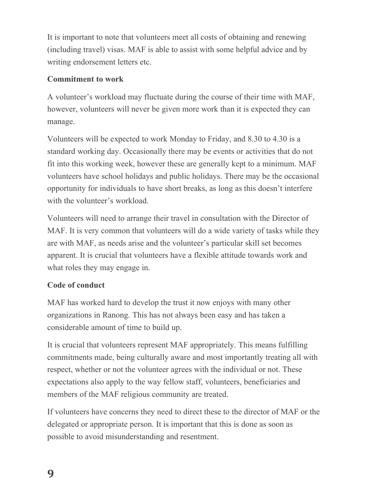It is important to note that volunteers meet all costs of obtaining and renewing (including travel) visas. MAF is able to assist with some helpful advice and by writing endorsement letters etc.

#### **Commitment to work**

A volunteer's workload may fluctuate during the course of their time with MAF, however, volunteers will never be given more work than it is expected they can manage.

Volunteers will be expected to work Monday to Friday, and 8.30 to 4.30 is a standard working day. Occasionally there may be events or activities that do not fit into this working week, however these are generally kept to a minimum. MAF volunteers have school holidays and public holidays. There may be the occasional opportunity for individuals to have short breaks, as long as this doesn't interfere with the volunteer's workload.

Volunteers will need to arrange their travel in consultation with the Director of MAF. It is very common that volunteers will do a wide variety of tasks while they are with MAF, as needs arise and the volunteer's particular skill set becomes apparent. It is crucial that volunteers have a flexible attitude towards work and what roles they may engage in.

#### **Code of conduct**

MAF has worked hard to develop the trust it now enjoys with many other organizations in Ranong. This has not always been easy and has taken a considerable amount of time to build up.

It is crucial that volunteers represent MAF appropriately. This means fulfilling commitments made, being culturally aware and most importantly treating all with respect, whether or not the volunteer agrees with the individual or not. These expectations also apply to the way fellow staff, volunteers, beneficiaries and members of the MAF religious community are treated.

If volunteers have concerns they need to direct these to the director of MAF or the delegated or appropriate person. It is important that this is done as soon as possible to avoid misunderstanding and resentment.